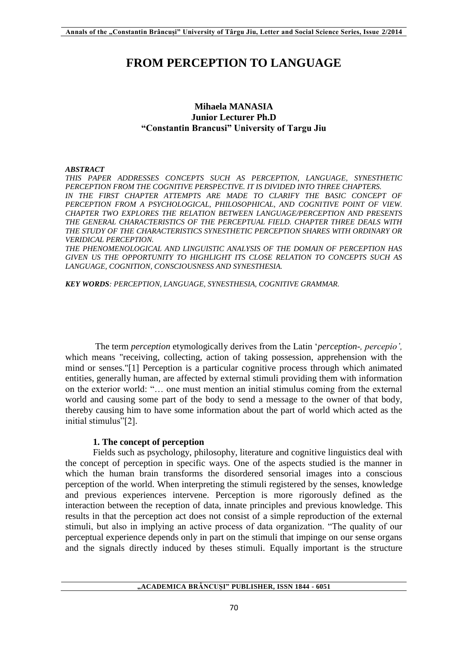# **FROM PERCEPTION TO LANGUAGE**

## **Mihaela MANASIA Junior Lecturer Ph.D "Constantin Brancusi" University of Targu Jiu**

#### *ABSTRACT*

*THIS PAPER ADDRESSES CONCEPTS SUCH AS PERCEPTION, LANGUAGE, SYNESTHETIC PERCEPTION FROM THE COGNITIVE PERSPECTIVE. IT IS DIVIDED INTO THREE CHAPTERS. IN THE FIRST CHAPTER ATTEMPTS ARE MADE TO CLARIFY THE BASIC CONCEPT OF PERCEPTION FROM A PSYCHOLOGICAL, PHILOSOPHICAL, AND COGNITIVE POINT OF VIEW. CHAPTER TWO EXPLORES THE RELATION BETWEEN LANGUAGE/PERCEPTION AND PRESENTS THE GENERAL CHARACTERISTICS OF THE PERCEPTUAL FIELD. CHAPTER THREE DEALS WITH*  THE STUDY OF THE CHARACTERISTICS SYNESTHETIC PERCEPTION SHARES WITH ORDINARY OR *VERIDICAL PERCEPTION.* 

*THE PHENOMENOLOGICAL AND LINGUISTIC ANALYSIS OF THE DOMAIN OF PERCEPTION HAS GIVEN US THE OPPORTUNITY TO HIGHLIGHT ITS CLOSE RELATION TO CONCEPTS SUCH AS LANGUAGE, COGNITION, CONSCIOUSNESS AND SYNESTHESIA.* 

*KEY WORDS: PERCEPTION, LANGUAGE, SYNESTHESIA, COGNITIVE GRAMMAR.*

The term *perception* etymologically derives from the Latin '*perception-, percepio',*  which means "receiving, collecting, action of taking possession, apprehension with the mind or senses."[1] Perception is a particular cognitive process through which animated entities, generally human, are affected by external stimuli providing them with information on the exterior world: "… one must mention an initial stimulus coming from the external world and causing some part of the body to send a message to the owner of that body, thereby causing him to have some information about the part of world which acted as the initial stimulus"[2].

## **1. The concept of perception**

Fields such as psychology, philosophy, literature and cognitive linguistics deal with the concept of perception in specific ways. One of the aspects studied is the manner in which the human brain transforms the disordered sensorial images into a conscious perception of the world. When interpreting the stimuli registered by the senses, knowledge and previous experiences intervene. Perception is more rigorously defined as the interaction between the reception of data, innate principles and previous knowledge. This results in that the perception act does not consist of a simple reproduction of the external stimuli, but also in implying an active process of data organization. "The quality of our perceptual experience depends only in part on the stimuli that impinge on our sense organs and the signals directly induced by theses stimuli. Equally important is the structure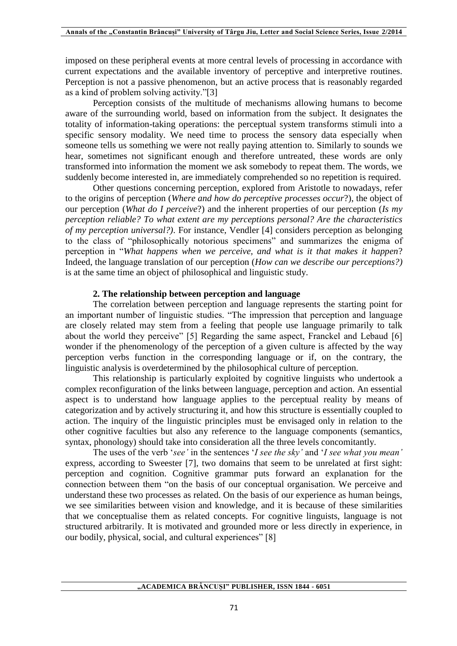imposed on these peripheral events at more central levels of processing in accordance with current expectations and the available inventory of perceptive and interpretive routines. Perception is not a passive phenomenon, but an active process that is reasonably regarded as a kind of problem solving activity."[3]

Perception consists of the multitude of mechanisms allowing humans to become aware of the surrounding world, based on information from the subject. It designates the totality of information-taking operations: the perceptual system transforms stimuli into a specific sensory modality. We need time to process the sensory data especially when someone tells us something we were not really paying attention to. Similarly to sounds we hear, sometimes not significant enough and therefore untreated, these words are only transformed into information the moment we ask somebody to repeat them. The words, we suddenly become interested in, are immediately comprehended so no repetition is required.

Other questions concerning perception, explored from Aristotle to nowadays, refer to the origins of perception (*Where and how do perceptive processes occur*?), the object of our perception (*What do I perceive*?) and the inherent properties of our perception (*Is my perception reliable? To what extent are my perceptions personal? Are the characteristics of my perception universal?)*. For instance, Vendler [4] considers perception as belonging to the class of "philosophically notorious specimens" and summarizes the enigma of perception in "*What happens when we perceive, and what is it that makes it happen*? Indeed, the language translation of our perception (*How can we describe our perceptions?)* is at the same time an object of philosophical and linguistic study.

## **2. The relationship between perception and language**

The correlation between perception and language represents the starting point for an important number of linguistic studies. "The impression that perception and language are closely related may stem from a feeling that people use language primarily to talk about the world they perceive" [5] Regarding the same aspect, Franckel and Lebaud [6] wonder if the phenomenology of the perception of a given culture is affected by the way perception verbs function in the corresponding language or if, on the contrary, the linguistic analysis is overdetermined by the philosophical culture of perception.

This relationship is particularly exploited by cognitive linguists who undertook a complex reconfiguration of the links between language, perception and action. An essential aspect is to understand how language applies to the perceptual reality by means of categorization and by actively structuring it, and how this structure is essentially coupled to action. The inquiry of the linguistic principles must be envisaged only in relation to the other cognitive faculties but also any reference to the language components (semantics, syntax, phonology) should take into consideration all the three levels concomitantly.

The uses of the verb '*see'* in the sentences '*I see the sky'* and '*I see what you mean'* express, according to Sweester [7], two domains that seem to be unrelated at first sight: perception and cognition. Cognitive grammar puts forward an explanation for the connection between them "on the basis of our conceptual organisation. We perceive and understand these two processes as related. On the basis of our experience as human beings, we see similarities between vision and knowledge, and it is because of these similarities that we conceptualise them as related concepts. For cognitive linguists, language is not structured arbitrarily. It is motivated and grounded more or less directly in experience, in our bodily, physical, social, and cultural experiences" [8]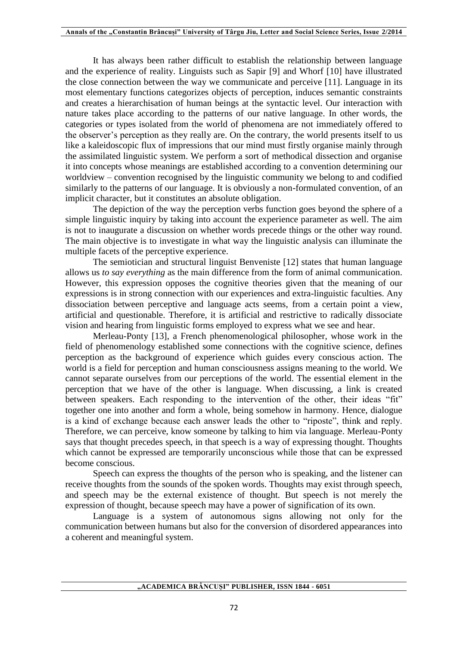It has always been rather difficult to establish the relationship between language and the experience of reality. Linguists such as Sapir [9] and Whorf [10] have illustrated the close connection between the way we communicate and perceive [11]. Language in its most elementary functions categorizes objects of perception, induces semantic constraints and creates a hierarchisation of human beings at the syntactic level. Our interaction with nature takes place according to the patterns of our native language. In other words, the categories or types isolated from the world of phenomena are not immediately offered to the observer's perception as they really are. On the contrary, the world presents itself to us like a kaleidoscopic flux of impressions that our mind must firstly organise mainly through the assimilated linguistic system. We perform a sort of methodical dissection and organise it into concepts whose meanings are established according to a convention determining our worldview – convention recognised by the linguistic community we belong to and codified similarly to the patterns of our language. It is obviously a non-formulated convention, of an implicit character, but it constitutes an absolute obligation.

The depiction of the way the perception verbs function goes beyond the sphere of a simple linguistic inquiry by taking into account the experience parameter as well. The aim is not to inaugurate a discussion on whether words precede things or the other way round. The main objective is to investigate in what way the linguistic analysis can illuminate the multiple facets of the perceptive experience.

The semiotician and structural linguist Benveniste [12] states that human language allows us *to say everything* as the main difference from the form of animal communication. However, this expression opposes the cognitive theories given that the meaning of our expressions is in strong connection with our experiences and extra-linguistic faculties. Any dissociation between perceptive and language acts seems, from a certain point a view, artificial and questionable. Therefore, it is artificial and restrictive to radically dissociate vision and hearing from linguistic forms employed to express what we see and hear.

Merleau-Ponty [13], a French phenomenological philosopher, whose work in the field of phenomenology established some connections with the cognitive science, defines perception as the background of experience which guides every conscious action. The world is a field for perception and human consciousness assigns meaning to the world. We cannot separate ourselves from our perceptions of the world. The essential element in the perception that we have of the other is language. When discussing, a link is created between speakers. Each responding to the intervention of the other, their ideas "fit" together one into another and form a whole, being somehow in harmony. Hence, dialogue is a kind of exchange because each answer leads the other to "riposte", think and reply. Therefore, we can perceive, know someone by talking to him via language. Merleau-Ponty says that thought precedes speech, in that speech is a way of expressing thought. Thoughts which cannot be expressed are temporarily unconscious while those that can be expressed become conscious.

Speech can express the thoughts of the person who is speaking, and the listener can receive thoughts from the sounds of the spoken words. Thoughts may exist through speech, and speech may be the external existence of thought. But speech is not merely the expression of thought, because speech may have a power of signification of its own.

Language is a system of autonomous signs allowing not only for the communication between humans but also for the conversion of disordered appearances into a coherent and meaningful system.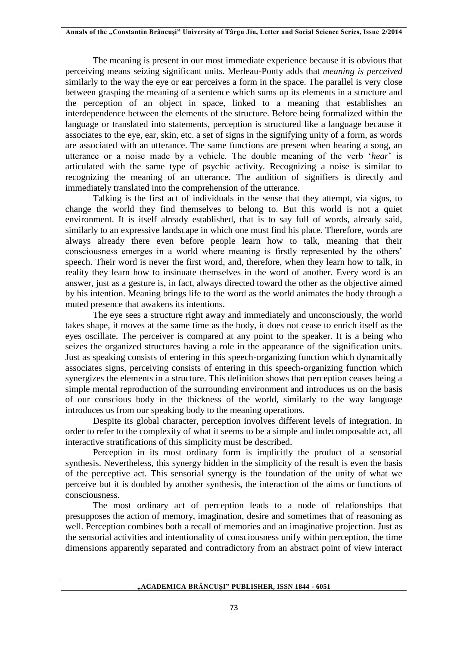The meaning is present in our most immediate experience because it is obvious that perceiving means seizing significant units. Merleau-Ponty adds that *meaning is perceived* similarly to the way the eye or ear perceives a form in the space. The parallel is very close between grasping the meaning of a sentence which sums up its elements in a structure and the perception of an object in space, linked to a meaning that establishes an interdependence between the elements of the structure. Before being formalized within the language or translated into statements, perception is structured like a language because it associates to the eye, ear, skin, etc. a set of signs in the signifying unity of a form, as words are associated with an utterance. The same functions are present when hearing a song, an utterance or a noise made by a vehicle. The double meaning of the verb '*hear*' is articulated with the same type of psychic activity. Recognizing a noise is similar to recognizing the meaning of an utterance. The audition of signifiers is directly and immediately translated into the comprehension of the utterance.

Talking is the first act of individuals in the sense that they attempt, via signs, to change the world they find themselves to belong to. But this world is not a quiet environment. It is itself already established, that is to say full of words, already said, similarly to an expressive landscape in which one must find his place. Therefore, words are always already there even before people learn how to talk, meaning that their consciousness emerges in a world where meaning is firstly represented by the others' speech. Their word is never the first word, and, therefore, when they learn how to talk, in reality they learn how to insinuate themselves in the word of another. Every word is an answer, just as a gesture is, in fact, always directed toward the other as the objective aimed by his intention. Meaning brings life to the word as the world animates the body through a muted presence that awakens its intentions.

The eye sees a structure right away and immediately and unconsciously, the world takes shape, it moves at the same time as the body, it does not cease to enrich itself as the eyes oscillate. The perceiver is compared at any point to the speaker. It is a being who seizes the organized structures having a role in the appearance of the signification units. Just as speaking consists of entering in this speech-organizing function which dynamically associates signs, perceiving consists of entering in this speech-organizing function which synergizes the elements in a structure. This definition shows that perception ceases being a simple mental reproduction of the surrounding environment and introduces us on the basis of our conscious body in the thickness of the world, similarly to the way language introduces us from our speaking body to the meaning operations.

Despite its global character, perception involves different levels of integration. In order to refer to the complexity of what it seems to be a simple and indecomposable act, all interactive stratifications of this simplicity must be described.

Perception in its most ordinary form is implicitly the product of a sensorial synthesis. Nevertheless, this synergy hidden in the simplicity of the result is even the basis of the perceptive act. This sensorial synergy is the foundation of the unity of what we perceive but it is doubled by another synthesis, the interaction of the aims or functions of consciousness.

The most ordinary act of perception leads to a node of relationships that presupposes the action of memory, imagination, desire and sometimes that of reasoning as well. Perception combines both a recall of memories and an imaginative projection. Just as the sensorial activities and intentionality of consciousness unify within perception, the time dimensions apparently separated and contradictory from an abstract point of view interact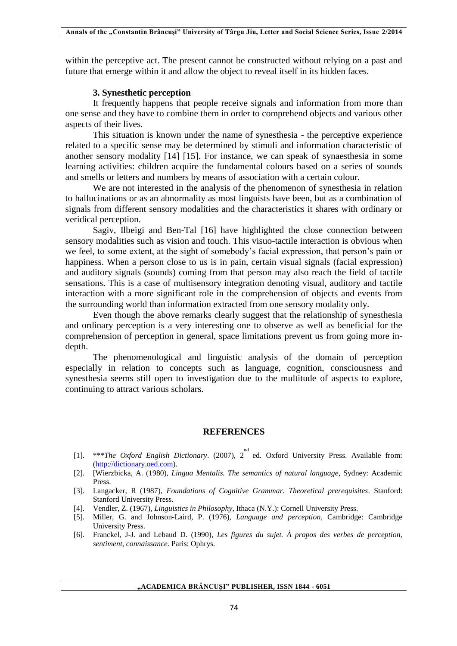within the perceptive act. The present cannot be constructed without relying on a past and future that emerge within it and allow the object to reveal itself in its hidden faces.

### **3. [Synesthetic perception](http://citeseerx.ist.psu.edu/viewdoc/summary?doi=10.1.1.400.5513)**

It frequently happens that people receive signals and information from more than one sense and they have to combine them in order to comprehend objects and various other aspects of their lives.

This situation is known under the name of synesthesia - the perceptive experience related to a specific sense may be determined by stimuli and information characteristic of another sensory modality [14] [15]. For instance, we can speak of synaesthesia in some learning activities: children acquire the fundamental colours based on a series of sounds and smells or letters and numbers by means of association with a certain colour.

We are not interested in the analysis of the phenomenon of synesthesia in relation to hallucinations or as an abnormality as most linguists have been, but as a combination of signals from different sensory modalities and the characteristics it shares with ordinary or veridical perception.

Sagiv, Ilbeigi and Ben-Tal [16] have highlighted the close connection between sensory modalities such as vision and touch. This visuo-tactile interaction is obvious when we feel, to some extent, at the sight of somebody's facial expression, that person's pain or happiness. When a person close to us is in pain, certain visual signals (facial expression) and auditory signals (sounds) coming from that person may also reach the field of tactile sensations. This is a case of multisensory integration denoting visual, auditory and tactile interaction with a more significant role in the comprehension of objects and events from the surrounding world than information extracted from one sensory modality only.

Even though the above remarks clearly suggest that the relationship of synesthesia and ordinary perception is a very interesting one to observe as well as beneficial for the comprehension of perception in general, space limitations prevent us from going more indepth.

The phenomenological and linguistic analysis of the domain of perception especially in relation to concepts such as language, cognition, consciousness and synesthesia seems still open to investigation due to the multitude of aspects to explore, continuing to attract various scholars.

#### **REFERENCES**

- [1]. \*\*\**The Oxford English Dictionary*. (2007), 2<sup>nd</sup> ed. Oxford University Press. Available from: [\(http://dictionary.oed.com\)](http://dictionary.oed.com/).
- [2]. [Wierzbicka, A. (1980), *Lingua Mentalis. The semantics of natural language*, Sydney: Academic Press.
- [3]. Langacker, R (1987), *Foundations of Cognitive Grammar. Theoretical prerequisites*. Stanford: Stanford University Press.
- [4]. Vendler, Z. (1967), *Linguistics in Philosophy*, Ithaca (N.Y.): Cornell University Press.
- [5]. Miller, G. and Johnson-Laird, P. (1976), *Language and perception*, Cambridge: Cambridge University Press.
- [6]. Franckel, J-J. and Lebaud D. (1990), *Les figures du sujet. À propos des verbes de perception, sentiment, connaissance.* Paris: Ophrys.